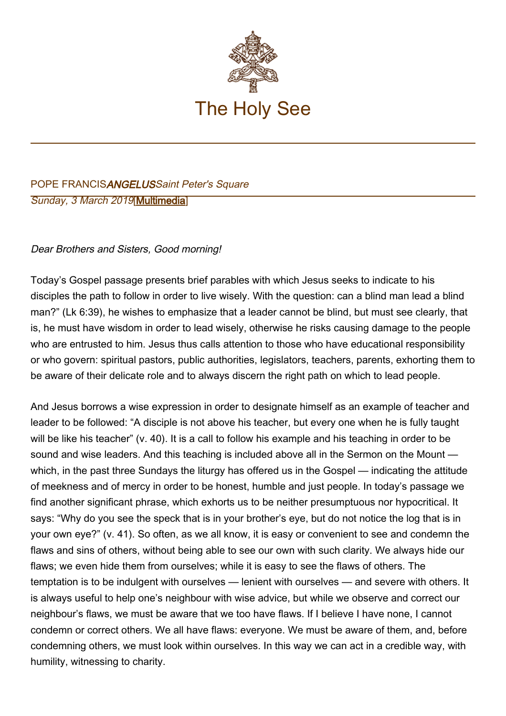

## POPE FRANCISANGELUSSaint Peter's Square Sunday, 3 March 2019[[Multimedia\]](http://w2.vatican.va/content/francesco/en/events/event.dir.html/content/vaticanevents/en/2019/3/3/angelus.html)

## Dear Brothers and Sisters, Good morning!

Today's Gospel passage presents brief parables with which Jesus seeks to indicate to his disciples the path to follow in order to live wisely. With the question: can a blind man lead a blind man?" (Lk 6:39), he wishes to emphasize that a leader cannot be blind, but must see clearly, that is, he must have wisdom in order to lead wisely, otherwise he risks causing damage to the people who are entrusted to him. Jesus thus calls attention to those who have educational responsibility or who govern: spiritual pastors, public authorities, legislators, teachers, parents, exhorting them to be aware of their delicate role and to always discern the right path on which to lead people.

And Jesus borrows a wise expression in order to designate himself as an example of teacher and leader to be followed: "A disciple is not above his teacher, but every one when he is fully taught will be like his teacher" (v. 40). It is a call to follow his example and his teaching in order to be sound and wise leaders. And this teaching is included above all in the Sermon on the Mount which, in the past three Sundays the liturgy has offered us in the Gospel — indicating the attitude of meekness and of mercy in order to be honest, humble and just people. In today's passage we find another significant phrase, which exhorts us to be neither presumptuous nor hypocritical. It says: "Why do you see the speck that is in your brother's eye, but do not notice the log that is in your own eye?" (v. 41). So often, as we all know, it is easy or convenient to see and condemn the flaws and sins of others, without being able to see our own with such clarity. We always hide our flaws; we even hide them from ourselves; while it is easy to see the flaws of others. The temptation is to be indulgent with ourselves — lenient with ourselves — and severe with others. It is always useful to help one's neighbour with wise advice, but while we observe and correct our neighbour's flaws, we must be aware that we too have flaws. If I believe I have none, I cannot condemn or correct others. We all have flaws: everyone. We must be aware of them, and, before condemning others, we must look within ourselves. In this way we can act in a credible way, with humility, witnessing to charity.